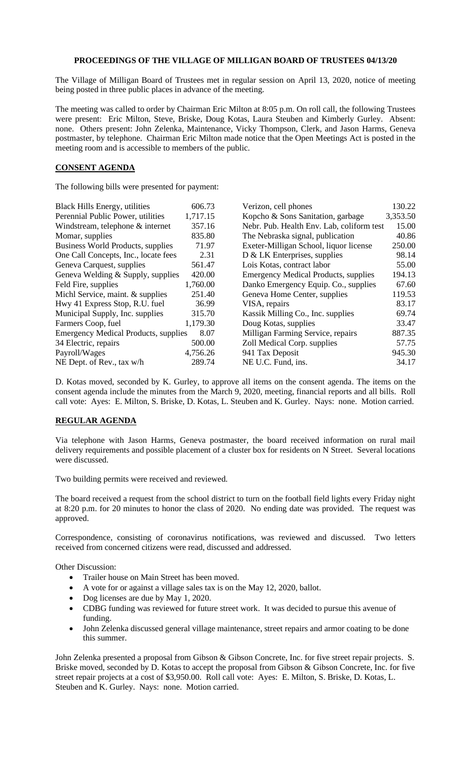## **PROCEEDINGS OF THE VILLAGE OF MILLIGAN BOARD OF TRUSTEES 04/13/20**

The Village of Milligan Board of Trustees met in regular session on April 13, 2020, notice of meeting being posted in three public places in advance of the meeting.

The meeting was called to order by Chairman Eric Milton at 8:05 p.m. On roll call, the following Trustees were present: Eric Milton, Steve, Briske, Doug Kotas, Laura Steuben and Kimberly Gurley. Absent: none. Others present: John Zelenka, Maintenance, Vicky Thompson, Clerk, and Jason Harms, Geneva postmaster, by telephone. Chairman Eric Milton made notice that the Open Meetings Act is posted in the meeting room and is accessible to members of the public.

## **CONSENT AGENDA**

The following bills were presented for payment:

| <b>Black Hills Energy, utilities</b>        | 606.73   | Verizon, cell phones                        | 130.22   |
|---------------------------------------------|----------|---------------------------------------------|----------|
| Perennial Public Power, utilities           | 1,717.15 | Kopcho & Sons Sanitation, garbage           | 3,353.50 |
| Windstream, telephone & internet            | 357.16   | Nebr. Pub. Health Env. Lab, coliform test   | 15.00    |
| Momar, supplies                             | 835.80   | The Nebraska signal, publication            | 40.86    |
| Business World Products, supplies           | 71.97    | Exeter-Milligan School, liquor license      | 250.00   |
| One Call Concepts, Inc., locate fees        | 2.31     | $D \& LK$ Enterprises, supplies             | 98.14    |
| Geneva Carquest, supplies                   | 561.47   | Lois Kotas, contract labor                  | 55.00    |
| Geneva Welding & Supply, supplies           | 420.00   | <b>Emergency Medical Products, supplies</b> | 194.13   |
| Feld Fire, supplies                         | 1,760.00 | Danko Emergency Equip. Co., supplies        | 67.60    |
| Michl Service, maint. & supplies            | 251.40   | Geneva Home Center, supplies                | 119.53   |
| Hwy 41 Express Stop, R.U. fuel              | 36.99    | VISA, repairs                               | 83.17    |
| Municipal Supply, Inc. supplies             | 315.70   | Kassik Milling Co., Inc. supplies           | 69.74    |
| Farmers Coop, fuel                          | 1,179.30 | Doug Kotas, supplies                        | 33.47    |
| <b>Emergency Medical Products, supplies</b> | 8.07     | Milligan Farming Service, repairs           | 887.35   |
| 34 Electric, repairs                        | 500.00   | Zoll Medical Corp. supplies                 | 57.75    |
| Payroll/Wages                               | 4,756.26 | 941 Tax Deposit                             | 945.30   |
| NE Dept. of Rev., tax w/h                   | 289.74   | NE U.C. Fund, ins.                          | 34.17    |
|                                             |          |                                             |          |

D. Kotas moved, seconded by K. Gurley, to approve all items on the consent agenda. The items on the consent agenda include the minutes from the March 9, 2020, meeting, financial reports and all bills. Roll call vote: Ayes: E. Milton, S. Briske, D. Kotas, L. Steuben and K. Gurley. Nays: none. Motion carried.

## **REGULAR AGENDA**

Via telephone with Jason Harms, Geneva postmaster, the board received information on rural mail delivery requirements and possible placement of a cluster box for residents on N Street. Several locations were discussed.

Two building permits were received and reviewed.

The board received a request from the school district to turn on the football field lights every Friday night at 8:20 p.m. for 20 minutes to honor the class of 2020. No ending date was provided. The request was approved.

Correspondence, consisting of coronavirus notifications, was reviewed and discussed. Two letters received from concerned citizens were read, discussed and addressed.

## Other Discussion:

- Trailer house on Main Street has been moved.
- A vote for or against a village sales tax is on the May 12, 2020, ballot.
- Dog licenses are due by May 1, 2020.
- CDBG funding was reviewed for future street work. It was decided to pursue this avenue of funding.
- John Zelenka discussed general village maintenance, street repairs and armor coating to be done this summer.

John Zelenka presented a proposal from Gibson & Gibson Concrete, Inc. for five street repair projects. S. Briske moved, seconded by D. Kotas to accept the proposal from Gibson & Gibson Concrete, Inc. for five street repair projects at a cost of \$3,950.00. Roll call vote: Ayes: E. Milton, S. Briske, D. Kotas, L. Steuben and K. Gurley. Nays: none. Motion carried.